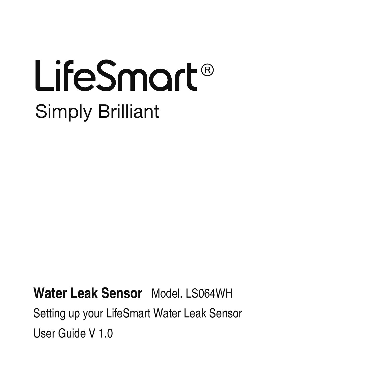## LifeSmart® Simply Brilliant

Water Leak Sensor Model LS064WH

User Guide V 1.0 Setting up your LifeSmart Water Leak Sensor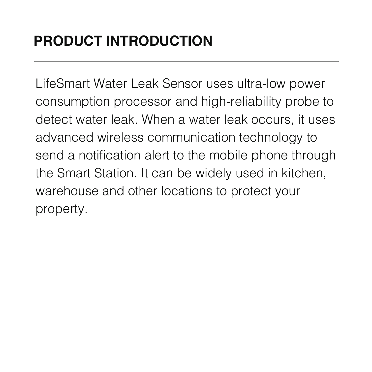LifeSmart Water Leak Sensor uses ultra-low power consumption processor and high-reliability probe to detect water leak. When a water leak occurs, it uses advanced wireless communication technology to send a notification alert to the mobile phone through the Smart Station. It can be widely used in kitchen, warehouse and other locations to protect your property.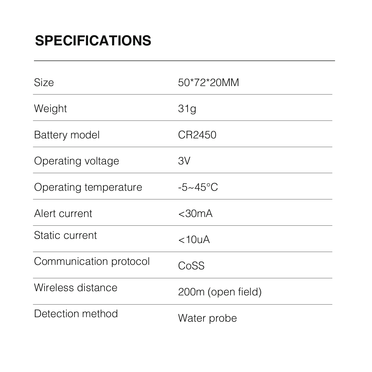| Size                   | 50*72*20MM             |
|------------------------|------------------------|
| Weight                 | 31 <sub>q</sub>        |
| Battery model          | CR2450                 |
| Operating voltage      | 3V                     |
| Operating temperature  | $-5 \sim 45^{\circ}$ C |
| Alert current          | $<$ 30 $mA$            |
| Static current         | <10 <sub>U</sub> A     |
| Communication protocol | CoSS                   |
| Wireless distance      | 200m (open field)      |
| Detection method       | Water probe            |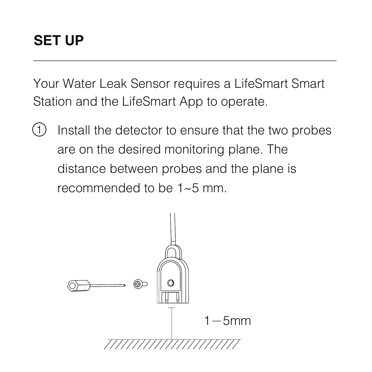Your Water Leak Sensor requires a LifeSmart Smart Station and the LifeSmart App to operate.

Install the detector to ensure that the two probes are on the desired monitoring plane. The distance between probes and the plane is recommended to be 1~5 mm. (T)

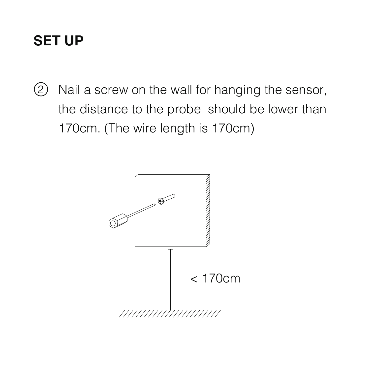#### **SET UP**

Nail a screw on the wall for hanging the sensor, the distance to the probe should be lower than 170cm. (The wire length is 170cm)  $(2)$ 

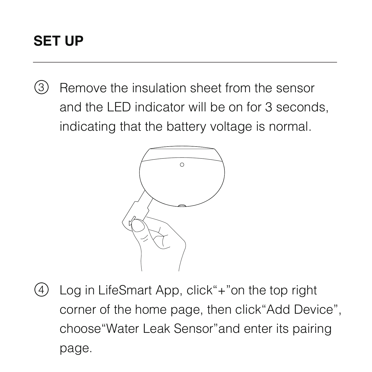### **SET UP**

Remove the insulation sheet from the sensor and the LED indicator will be on for 3 seconds, indicating that the battery voltage is normal. 3



Log in LifeSmart App, click"+"on the top right corner of the home page, then click"Add Device", choose"Water Leak Sensor"and enter its pairing page.  $\circ$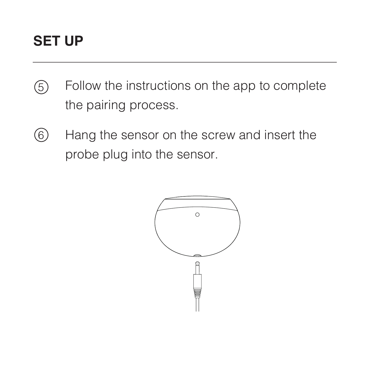#### **SET UP**

- Follow the instructions on the app to complete the pairing process.  $\circ$
- Hang the sensor on the screw and insert the probe plug into the sensor. 6

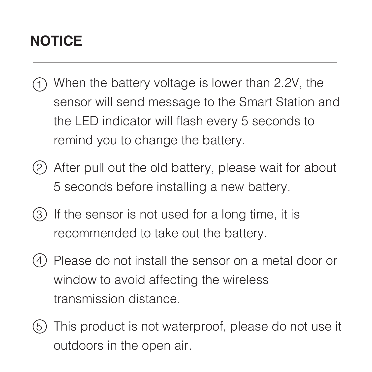## **NOTICE**

- When the battery voltage is lower than 2.2V, the 1 sensor will send message to the Smart Station and the LED indicator will flash every 5 seconds to remind you to change the battery.
- After pull out the old battery, please wait for about 2 5 seconds before installing a new battery.
- 3) If the sensor is not used for a long time, it is recommended to take out the battery.
- Please do not install the sensor on a metal door or 4 window to avoid affecting the wireless transmission distance.
- 5) This product is not waterproof, please do not use it outdoors in the open air.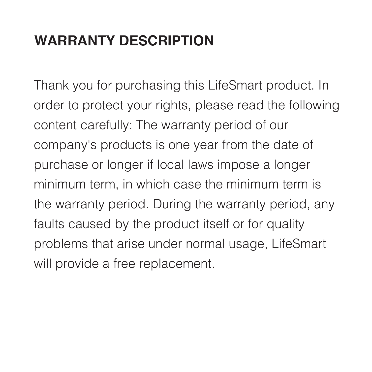Thank you for purchasing this LifeSmart product. In order to protect your rights, please read the following content carefully: The warranty period of our company's products is one year from the date of purchase or longer if local laws impose a longer minimum term, in which case the minimum term is the warranty period. During the warranty period, any faults caused by the product itself or for quality problems that arise under normal usage, LifeSmart will provide a free replacement.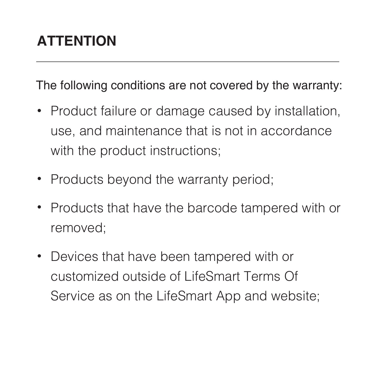#### The following conditions are not covered by the warranty:

- Product failure or damage caused by installation, use, and maintenance that is not in accordance with the product instructions:
- Products beyond the warranty period:
- Products that have the barcode tampered with or removed;
- Devices that have been tampered with or customized outside of LifeSmart Terms Of Service as on the LifeSmart App and website;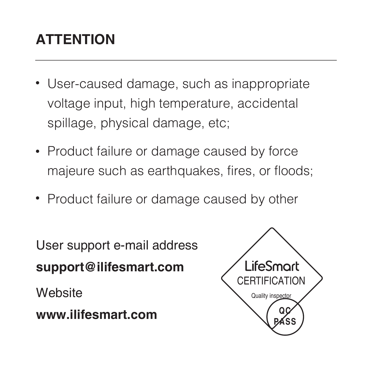## **ATTENTION**

- User-caused damage, such as inappropriate voltage input, high temperature, accidental spillage, physical damage, etc;
- Product failure or damage caused by force majeure such as earthquakes, fires, or floods;
- Product failure or damage caused by other

User support e-mail address **support@ilifesmart.com Website** 

**www.ilifesmart.com**

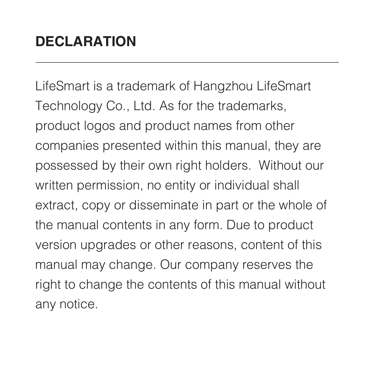LifeSmart is a trademark of Hangzhou LifeSmart Technology Co., Ltd. As for the trademarks, product logos and product names from other companies presented within this manual, they are possessed by their own right holders. Without our written permission, no entity or individual shall extract, copy or disseminate in part or the whole of the manual contents in any form. Due to product version upgrades or other reasons, content of this manual may change. Our company reserves the right to change the contents of this manual without any notice.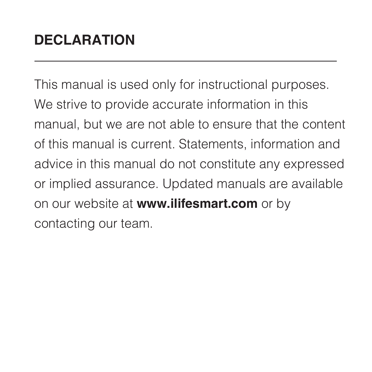This manual is used only for instructional purposes. We strive to provide accurate information in this manual, but we are not able to ensure that the content of this manual is current. Statements, information and advice in this manual do not constitute any expressed or implied assurance. Updated manuals are available on our website at **www.ilifesmart.com** or by contacting our team.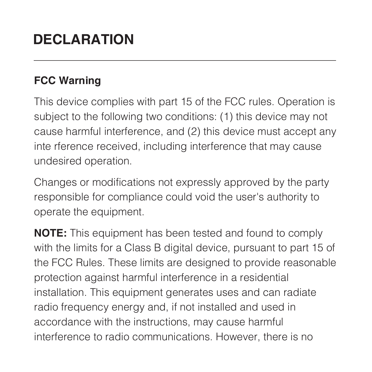#### **FCC Warning**

This device complies with part 15 of the FCC rules. Operation is subject to the following two conditions: (1) this device may not cause harmful interference, and (2) this device must accept any inte rference received, including interference that may cause undesired operation.

Changes or modifications not expressly approved by the party responsible for compliance could void the user's authority to operate the equipment.

**NOTE:** This equipment has been tested and found to comply with the limits for a Class B digital device, pursuant to part 15 of the FCC Rules. These limits are designed to provide reasonable protection against harmful interference in a residential installation. This equipment generates uses and can radiate radio frequency energy and, if not installed and used in accordance with the instructions, may cause harmful interference to radio communications. However, there is no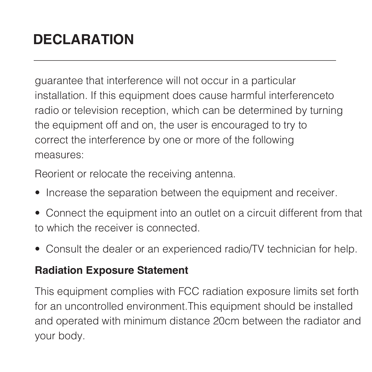guarantee that interference will not occur in a particular installation. If this equipment does cause harmful interferenceto radio or television reception, which can be determined by turning the equipment off and on, the user is encouraged to try to correct the interference by one or more of the following measures:

Reorient or relocate the receiving antenna.

- Increase the separation between the equipment and receiver.
- Connect the equipment into an outlet on a circuit different from that to which the receiver is connected.
- Consult the dealer or an experienced radio/TV technician for help.

#### **Radiation Exposure Statement**

This equipment complies with FCC radiation exposure limits set forth for an uncontrolled environment.This equipment should be installed and operated with minimum distance 20cm between the radiator and your body.